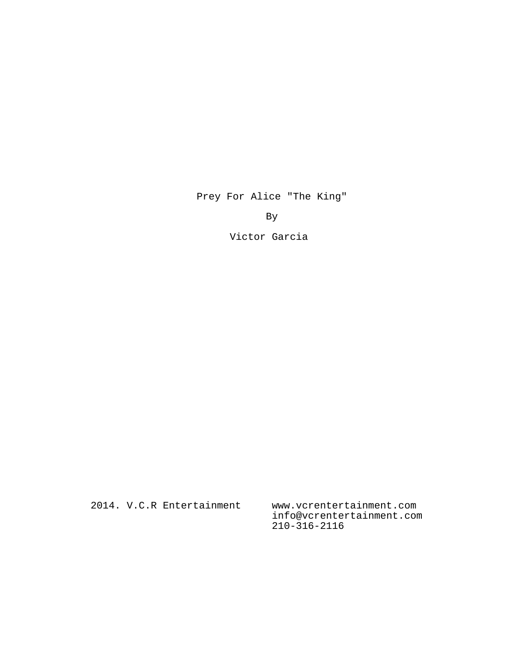Prey For Alice "The King"

By

Victor Garcia

2014. V.C.R Entertainment www.vcrentertainment.com info@vcrentertainment.com 210-316-2116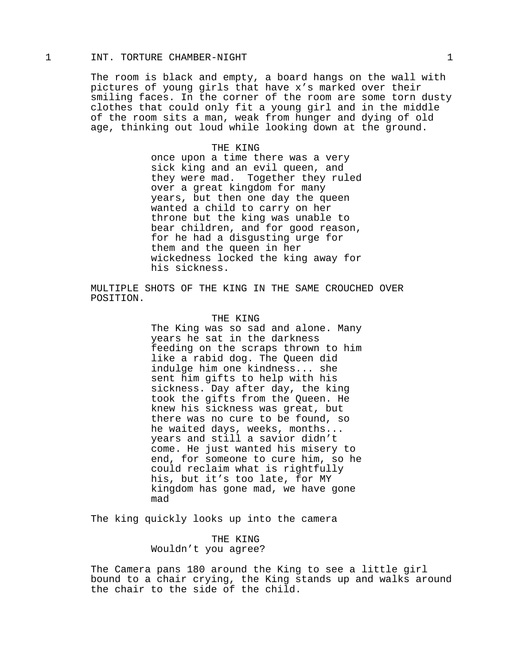## 1 INT. TORTURE CHAMBER-NIGHT 1

The room is black and empty, a board hangs on the wall with pictures of young girls that have x's marked over their smiling faces. In the corner of the room are some torn dusty clothes that could only fit a young girl and in the middle of the room sits a man, weak from hunger and dying of old age, thinking out loud while looking down at the ground.

## THE KING

once upon a time there was a very sick king and an evil queen, and they were mad. Together they ruled over a great kingdom for many years, but then one day the queen wanted a child to carry on her throne but the king was unable to bear children, and for good reason, for he had a disgusting urge for them and the queen in her wickedness locked the king away for his sickness.

MULTIPLE SHOTS OF THE KING IN THE SAME CROUCHED OVER POSITION.

## THE KING

The King was so sad and alone. Many years he sat in the darkness feeding on the scraps thrown to him like a rabid dog. The Queen did indulge him one kindness... she sent him gifts to help with his sickness. Day after day, the king took the gifts from the Queen. He knew his sickness was great, but there was no cure to be found, so he waited days, weeks, months... years and still a savior didn't come. He just wanted his misery to end, for someone to cure him, so he could reclaim what is rightfully his, but it's too late, for MY kingdom has gone mad, we have gone mad

The king quickly looks up into the camera

## THE KING Wouldn't you agree?

The Camera pans 180 around the King to see a little girl bound to a chair crying, the King stands up and walks around the chair to the side of the child.